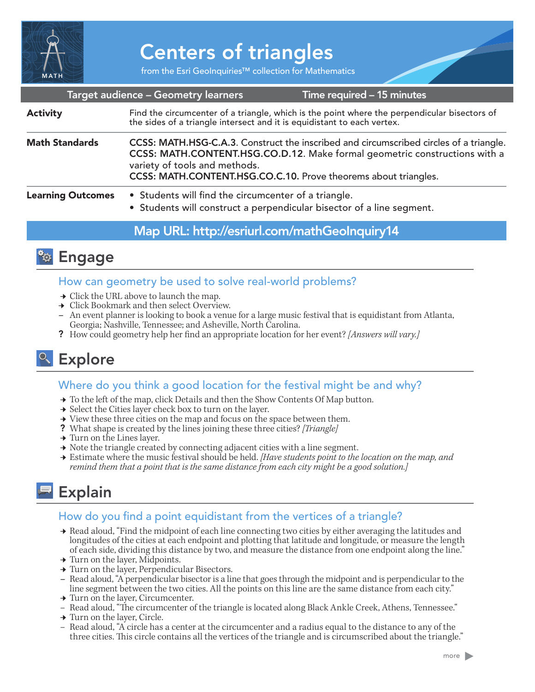

# Centers of triangles

from the Esri GeoInquiries™ collection for Mathematics

|                          | Target audience - Geometry learners                                                                                                                                                                                                                                      | Time required – 15 minutes |
|--------------------------|--------------------------------------------------------------------------------------------------------------------------------------------------------------------------------------------------------------------------------------------------------------------------|----------------------------|
| <b>Activity</b>          | Find the circumcenter of a triangle, which is the point where the perpendicular bisectors of the sides of a triangle intersect and it is equidistant to each vertex.                                                                                                     |                            |
| <b>Math Standards</b>    | CCSS: MATH.HSG-C.A.3. Construct the inscribed and circumscribed circles of a triangle.<br>CCSS: MATH.CONTENT.HSG.CO.D.12. Make formal geometric constructions with a<br>variety of tools and methods.<br>CCSS: MATH.CONTENT.HSG.CO.C.10. Prove theorems about triangles. |                            |
| <b>Learning Outcomes</b> | • Students will find the circumcenter of a triangle.<br>• Students will construct a perpendicular bisector of a line segment.                                                                                                                                            |                            |

## Map URL: http://esriurl.com/mathGeoInquiry14



### How can geometry be used to solve real-world problems?

- $\rightarrow$  Click the URL above to launch the map.
- **→** Click Bookmark and then select Overview.
- **–** An event planner is looking to book a venue for a large music festival that is equidistant from Atlanta, Georgia; Nashville, Tennessee; and Asheville, North Carolina.
- ? How could geometry help her find an appropriate location for her event? *[Answers will vary.]*

# <sup>o</sup> Explore

## Where do you think a good location for the festival might be and why?

- → To the left of the map, click Details and then the Show Contents Of Map button.
- → Select the Cities layer check box to turn on the layer.
- $\rightarrow$  View these three cities on the map and focus on the space between them.
- ? What shape is created by the lines joining these three cities? *[Triangle]*
- $\rightarrow$  Turn on the Lines layer.
- → Note the triangle created by connecting adjacent cities with a line segment.
- ʅ Estimate where the music festival should be held. *[Have students point to the location on the map, and remind them that a point that is the same distance from each city might be a good solution.]*

# **Explain**

## How do you find a point equidistant from the vertices of a triangle?

- → Read aloud, "Find the midpoint of each line connecting two cities by either averaging the latitudes and longitudes of the cities at each endpoint and plotting that latitude and longitude, or measure the length of each side, dividing this distance by two, and measure the distance from one endpoint along the line."
- $\rightarrow$  Turn on the layer, Midpoints.
- **→ Turn on the layer, Perpendicular Bisectors.**
- **–** Read aloud, "A perpendicular bisector is a line that goes through the midpoint and is perpendicular to the line segment between the two cities. All the points on this line are the same distance from each city."
- **→ Turn on the layer, Circumcenter.**
- Read aloud, "The circumcenter of the triangle is located along Black Ankle Creek, Athens, Tennessee." → Turn on the laver, Circle.
- 
- Read aloud, "A circle has a center at the circumcenter and a radius equal to the distance to any of the three cities. This circle contains all the vertices of the triangle and is circumscribed about the triangle."